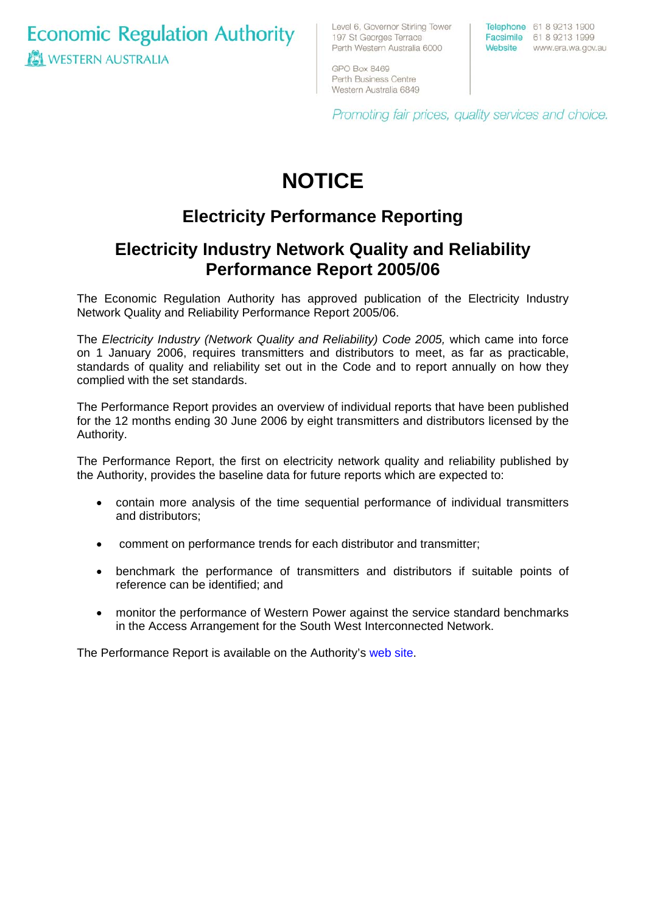**Economic Regulation Authority WESTERN AUSTRALIA** 

Level 6, Governor Stirling Tower 197 St Georges Terrace Perth Western Australia 6000

Telephone 61 8 9213 1900 Facsimile 61 8 9213 1999 Website www.era.wa.gov.au

GPO Box 8469 Perth Business Centre Western Australia 6849

Promoting fair prices, quality services and choice.

# **NOTICE**

## **Electricity Performance Reporting**

### **Electricity Industry Network Quality and Reliability Performance Report 2005/06**

The Economic Regulation Authority has approved publication of the Electricity Industry Network Quality and Reliability Performance Report 2005/06.

The *Electricity Industry (Network Quality and Reliability) Code 2005,* which came into force on 1 January 2006, requires transmitters and distributors to meet, as far as practicable, standards of quality and reliability set out in the Code and to report annually on how they complied with the set standards.

The Performance Report provides an overview of individual reports that have been published for the 12 months ending 30 June 2006 by eight transmitters and distributors licensed by the Authority.

The Performance Report, the first on electricity network quality and reliability published by the Authority, provides the baseline data for future reports which are expected to:

- contain more analysis of the time sequential performance of individual transmitters and distributors;
- comment on performance trends for each distributor and transmitter;
- benchmark the performance of transmitters and distributors if suitable points of reference can be identified; and
- monitor the performance of Western Power against the service standard benchmarks in the Access Arrangement for the South West Interconnected Network.

The Performance Report is available on the Authority's [web site](http://www.era.wa.gov.au/electricity/library/Network_Quality_&_Reliability_Report_2006_Final.pdf).